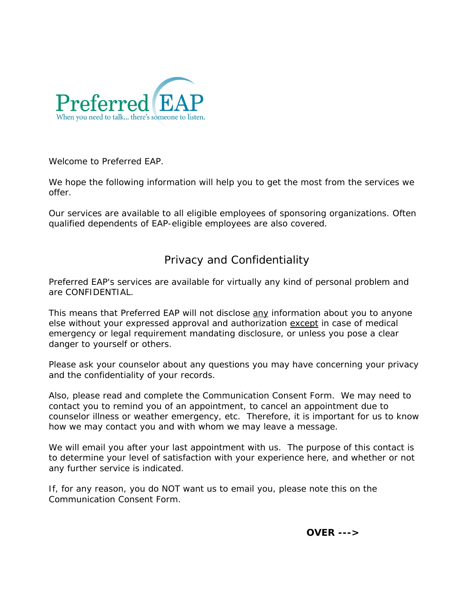

Welcome to Preferred EAP.

We hope the following information will help you to get the most from the services we offer.

Our services are available to all eligible employees of sponsoring organizations. Often qualified dependents of EAP-eligible employees are also covered.

## Privacy and Confidentiality

Preferred EAP's services are available for virtually any kind of personal problem and are CONFIDENTIAL.

This means that Preferred EAP will not disclose any information about you to anyone else without your expressed approval and authorization except in case of medical emergency or legal requirement mandating disclosure, or unless you pose a clear danger to yourself or others.

Please ask your counselor about any questions you may have concerning your privacy and the confidentiality of your records.

Also, please read and complete the *Communication Consent Form.* We may need to contact you to remind you of an appointment, to cancel an appointment due to counselor illness or weather emergency, etc. Therefore, it is important for us to know how we may contact you and with whom we may leave a message.

We will email you after your last appointment with us. The purpose of this contact is to determine your level of satisfaction with your experience here, and whether or not any further service is indicated.

If, for any reason, you do NOT want us to email you, please note this on the *Communication Consent Form*.

*OVER --->*